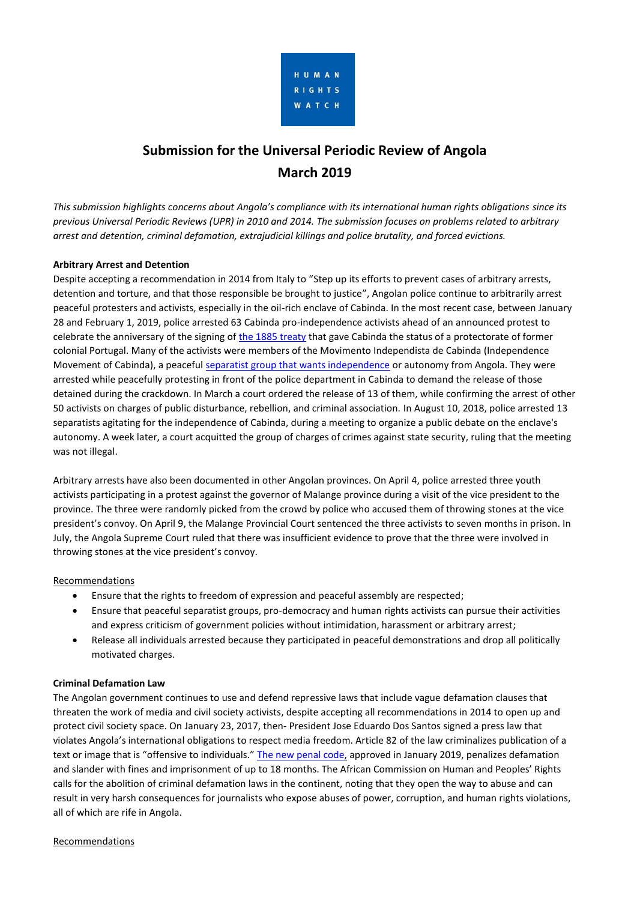

# **Submission for the Universal Periodic Review of Angola March 2019**

*This submission highlights concerns about Angola's compliance with its international human rights obligations since its previous Universal Periodic Reviews (UPR) in 2010 and 2014. The submission focuses on problems related to arbitrary arrest and detention, criminal defamation, extrajudicial killings and police brutality, and forced evictions.*

# **Arbitrary Arrest and Detention**

Despite accepting a recommendation in 2014 from Italy to "Step up its efforts to prevent cases of arbitrary arrests, detention and torture, and that those responsible be brought to justice", Angolan police continue to arbitrarily arrest peaceful protesters and activists, especially in the oil-rich enclave of Cabinda. In the most recent case, between January 28 and February 1, 2019, police arrested 63 Cabinda pro-independence activists ahead of an announced protest to celebrate the anniversary of the signing of [the 1885 treaty](https://en.wikipedia.org/wiki/Treaty_of_Simulambuco) that gave Cabinda the status of a protectorate of former colonial Portugal. Many of the activists were members of the Movimento Independista de Cabinda (Independence Movement of Cabinda), a peaceful [separatist group that wants independence](https://www.dw.com/pt-002/cabindas-criam-novo-movimento-apesar-de-deten%C3%A7%C3%B5es/a-47642364) or autonomy from Angola. They were arrested while peacefully protesting in front of the police department in Cabinda to demand the release of those detained during the crackdown. In March a court ordered the release of 13 of them, while confirming the arrest of other 50 activists on charges of public disturbance, rebellion, and criminal association. In August 10, 2018, police arrested 13 separatists agitating for the independence of Cabinda, during a meeting to organize a public debate on the enclave's autonomy. A week later, a court acquitted the group of charges of crimes against state security, ruling that the meeting was not illegal.

Arbitrary arrests have also been documented in other Angolan provinces. On April 4, police arrested three youth activists participating in a protest against the governor of Malange province during a visit of the vice president to the province. The three were randomly picked from the crowd by police who accused them of throwing stones at the vice president's convoy. On April 9, the Malange Provincial Court sentenced the three activists to seven months in prison. In July, the Angola Supreme Court ruled that there was insufficient evidence to prove that the three were involved in throwing stones at the vice president's convoy.

# Recommendations

- Ensure that the rights to freedom of expression and peaceful assembly are respected;
- Ensure that peaceful separatist groups, pro-democracy and human rights activists can pursue their activities and express criticism of government policies without intimidation, harassment or arbitrary arrest;
- Release all individuals arrested because they participated in peaceful demonstrations and drop all politically motivated charges.

# **Criminal Defamation Law**

The Angolan government continues to use and defend repressive laws that include vague defamation clauses that threaten the work of media and civil society activists, despite accepting all recommendations in 2014 to open up and protect civil society space. On January 23, 2017, then- President Jose Eduardo Dos Santos signed a press law that violates Angola's international obligations to respect media freedom. Article 82 of the law criminalizes publication of a text or image that is "offensive to individuals." [The new penal code,](https://www.wipo.int/edocs/lexdocs/laws/pt/ao/ao026pt.pdf) approved in January 2019, penalizes defamation and slander with fines and imprisonment of up to 18 months. The African Commission on Human and Peoples' Rights calls for the abolition of criminal defamation laws in the continent, noting that they open the way to abuse and can result in very harsh consequences for journalists who expose abuses of power, corruption, and human rights violations, all of which are rife in Angola.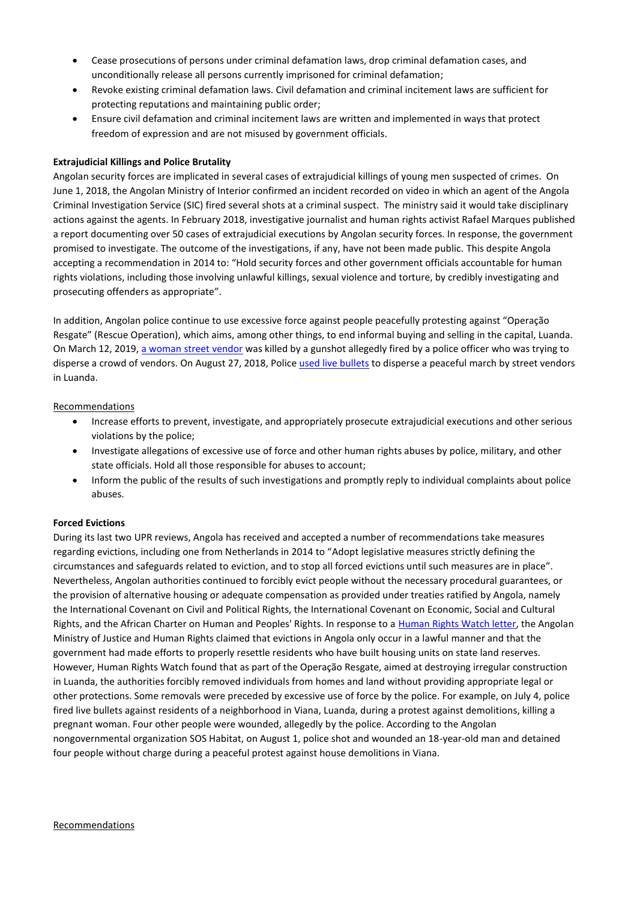- Cease prosecutions of persons under criminal defamation laws, drop criminal defamation cases, and unconditionally release all persons currently imprisoned for criminal defamation;
- Revoke existing criminal defamation laws. Civil defamation and criminal incitement laws are sufficient for protecting reputations and maintaining public order;
- Ensure civil defamation and criminal incitement laws are written and implemented in ways that protect freedom of expression and are not misused by government officials.

# **Extrajudicial Killings and Police Brutality**

Angolan security forces are implicated in several cases of extrajudicial killings of young men suspected of crimes. On June 1, 2018, the Angolan Ministry of Interior confirmed an incident recorded on video in which an agent of the Angola Criminal Investigation Service (SIC) fired several shots at a criminal suspect. The ministry said it would take disciplinary actions against the agents. In February 2018, investigative journalist and human rights activist Rafael Marques published a report documenting over 50 cases of extrajudicial executions by Angolan security forces. In response, the government promised to investigate. The outcome of the investigations, if any, have not been made public. This despite Angola accepting a recommendation in 2014 to: "Hold security forces and other government officials accountable for human rights violations, including those involving unlawful killings, sexual violence and torture, by credibly investigating and prosecuting offenders as appropriate".

In addition, Angolan police continue to use excessive force against people peacefully protesting against "Operação Resgate" (Rescue Operation), which aims, among other things, to end informal buying and selling in the capital, Luanda. On March 12, 2019, [a woman street vendor](https://www.lusa.pt/lusanews/article/25811097/angola-police-kill-street-vendor-in-luanda-create-riot) was killed by a gunshot allegedly fired by a police officer who was trying to disperse a crowd of vendors. On August 27, 2018, Police [used live bullets](https://www.radioangola.org/policia-reprime-marcha-contra-violencia-as-zungueiras-em-luanda/) to disperse a peaceful march by street vendors in Luanda.

# Recommendations

- Increase efforts to prevent, investigate, and appropriately prosecute extrajudicial executions and other serious violations by the police;
- Investigate allegations of excessive use of force and other human rights abuses by police, military, and other state officials. Hold all those responsible for abuses to account;
- Inform the public of the results of such investigations and promptly reply to individual complaints about police abuses.

# **Forced Evictions**

During its last two UPR reviews, Angola has received and accepted a number of recommendations take measures regarding evictions, including one from Netherlands in 2014 to "Adopt legislative measures strictly defining the circumstances and safeguards related to eviction, and to stop all forced evictions until such measures are in place". Nevertheless, Angolan authorities continued to forcibly evict people without the necessary procedural guarantees, or the provision of alternative housing or adequate compensation as provided under treaties ratified by Angola, namely the International Covenant on Civil and Political Rights, the International Covenant on Economic, Social and Cultural Rights, and the African Charter on Human and Peoples' Rights. In response to a [Human Rights Watch letter,](https://www.hrw.org/news/2018/05/24/letter-angolan-president-he-joao-lourenco) the Angolan Ministry of Justice and Human Rights claimed that evictions in Angola only occur in a lawful manner and that the government had made efforts to properly resettle residents who have built housing units on state land reserves. However, Human Rights Watch found that as part of the Operação Resgate, aimed at destroying irregular construction in Luanda, the authorities forcibly removed individuals from homes and land without providing appropriate legal or other protections. Some removals were preceded by excessive use of force by the police. For example, on July 4, police fired live bullets against residents of a neighborhood in Viana, Luanda, during a protest against demolitions, killing a pregnant woman. Four other people were wounded, allegedly by the police. According to the Angolan nongovernmental organization SOS Habitat, on August 1, police shot and wounded an 18-year-old man and detained four people without charge during a peaceful protest against house demolitions in Viana.